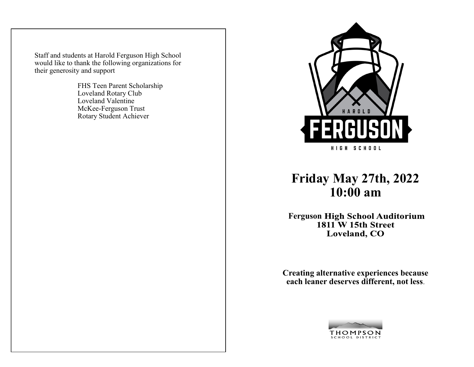Staff and students at Harold Ferguson High School would like to thank the following organizations for their generosity and support

> FHS Teen Parent Scholarship Loveland Rotary Club Loveland Valentine McKee-Ferguson Trust Rotary Student Achiever



## **Friday May 27th, 2022 10:00 am**

**Ferguson High School Auditorium<br>1811 W 15th Street** Loveland, CO

**Creating alternative experiences because each leaner deserves different, not less**.